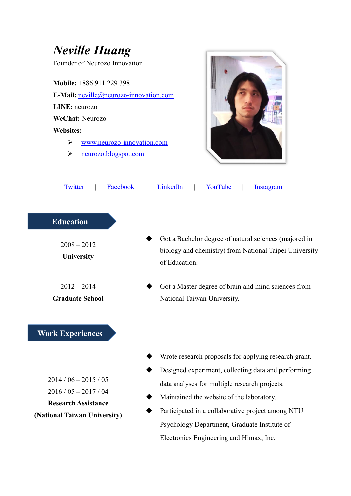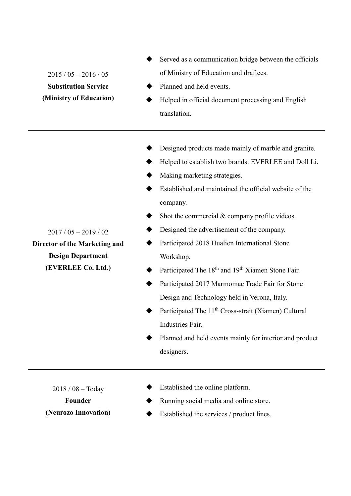- Served as a communication bridge between the officials of Ministry of Education and draftees.
- Planned and held events.
- Helped in official document processing and English translation.
- Designed products made mainly of marble and granite.
- Helped to establish two brands: EVERLEE and Doll Li.
- Making marketing strategies.
- Established and maintained the official website of the company.
- Shot the commercial  $&$  company profile videos.
- Designed the advertisement of the company.
- Participated 2018 Hualien International Stone Workshop.
- Participated The 18<sup>th</sup> and 19<sup>th</sup> Xiamen Stone Fair.
	- Participated 2017 Marmomac Trade Fair for Stone Design and Technology held in Verona, Italy.
- Participated The 11<sup>th</sup> Cross-strait (Xiamen) Cultural Industries Fair.
- Planned and held events mainly for interior and product designers.

2018 / 08 – Today

**Founder (Neurozo Innovation)**

- Established the online platform.
- Running social media and online store.
- Established the services / product lines.

 $2015 / 05 - 2016 / 05$ **Substitution Service (Ministry of Education)**

2017 / 05 – 2019 / 02

**Director of the Marketing and Design Department (EVERLEE Co. Ltd.)**